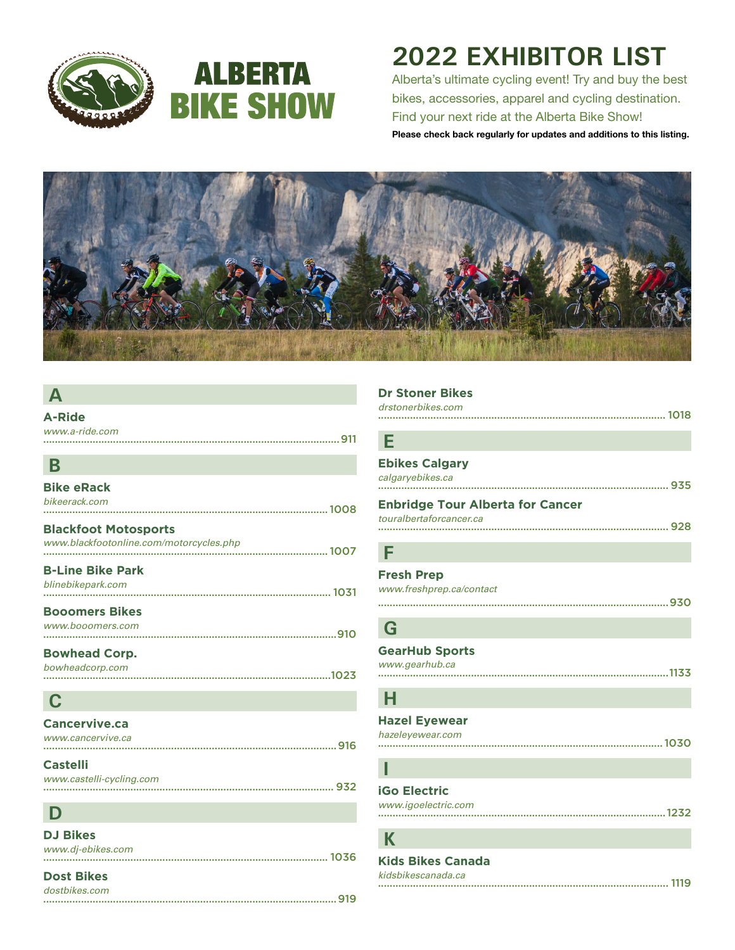



# **2022 EXHIBITOR LIST**

Alberta's ultimate cycling event! Try and buy the best bikes, accessories, apparel and cycling destination. Find your next ride at the Alberta Bike Show! Please check back regularly for updates and additions to this listing.



### **A**

| <b>A-Ride</b>                           |  |
|-----------------------------------------|--|
| www.a-ride.com                          |  |
|                                         |  |
| B                                       |  |
| <b>Bike eRack</b>                       |  |
| bikeerack.com                           |  |
|                                         |  |
| <b>Blackfoot Motosports</b>             |  |
| www.blackfootonline.com/motorcycles.php |  |
|                                         |  |
| <b>B-Line Bike Park</b>                 |  |
| blinebikepark.com                       |  |
| <b>Booomers Bikes</b>                   |  |
| www.booomers.com                        |  |
|                                         |  |
| <b>Bowhead Corp.</b>                    |  |
| bowheadcorp.com                         |  |
|                                         |  |
| $\mathbf C$                             |  |
|                                         |  |
| Cancervive.ca                           |  |
| www.cancervive.ca                       |  |
| <b>Castelli</b>                         |  |
| www.castelli-cycling.com                |  |
|                                         |  |

# **Dr Stoner Bikes** *drstonerbikes.com* ................................................................................................... 1018 **E Ebikes Calgary** *calgaryebikes.ca* .................................................................................................... 935 **Enbridge Tour Alberta for Cancer**

#### *touralbertaforcancer.ca* .................................................................................................... 928

# **F**

**Fresh Prep** *www.freshprep.ca/contact*

# ....................................................................................................930

#### **G GearHub Sports** *www.gearhub.ca* ....................................................................................................1133

### **H**

| <b>Hazel Eyewear</b> |  |
|----------------------|--|
| hazeleyewear.com     |  |
|                      |  |

# **I**

| <b>iGo Electric</b> |
|---------------------|
| www.ianglactric.com |

| www.igoelectric.com |  |
|---------------------|--|
|                     |  |

**K**

**Kids Bikes Canada** *kidsbikescanada.ca* .................................................................................................... 1119

|  | <b>Dost Bikes</b> |
|--|-------------------|
|  |                   |

**D**

**DJ Bikes** *www.dj-ebikes.com*

| dostbikes.com |  |
|---------------|--|
|               |  |

.................................................................................................. 1036

.................................................................................................... 932